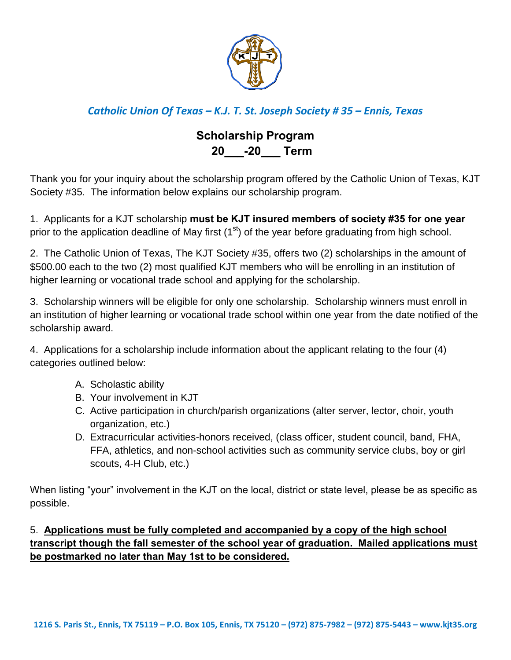

# *Catholic Union Of Texas – K.J. T. St. Joseph Society # 35 – Ennis, Texas*

# **Scholarship Program 20\_\_\_-20\_\_\_ Term**

Thank you for your inquiry about the scholarship program offered by the Catholic Union of Texas, KJT Society #35. The information below explains our scholarship program.

1. Applicants for a KJT scholarship **must be KJT insured members of society #35 for one year** prior to the application deadline of May first  $(1<sup>st</sup>)$  of the year before graduating from high school.

2. The Catholic Union of Texas, The KJT Society #35, offers two (2) scholarships in the amount of \$500.00 each to the two (2) most qualified KJT members who will be enrolling in an institution of higher learning or vocational trade school and applying for the scholarship.

3. Scholarship winners will be eligible for only one scholarship. Scholarship winners must enroll in an institution of higher learning or vocational trade school within one year from the date notified of the scholarship award.

4. Applications for a scholarship include information about the applicant relating to the four (4) categories outlined below:

- A. Scholastic ability
- B. Your involvement in KJT
- C. Active participation in church/parish organizations (alter server, lector, choir, youth organization, etc.)
- D. Extracurricular activities-honors received, (class officer, student council, band, FHA, FFA, athletics, and non-school activities such as community service clubs, boy or girl scouts, 4-H Club, etc.)

When listing "your" involvement in the KJT on the local, district or state level, please be as specific as possible.

### 5. **Applications must be fully completed and accompanied by a copy of the high school transcript though the fall semester of the school year of graduation. Mailed applications must be postmarked no later than May 1st to be considered.**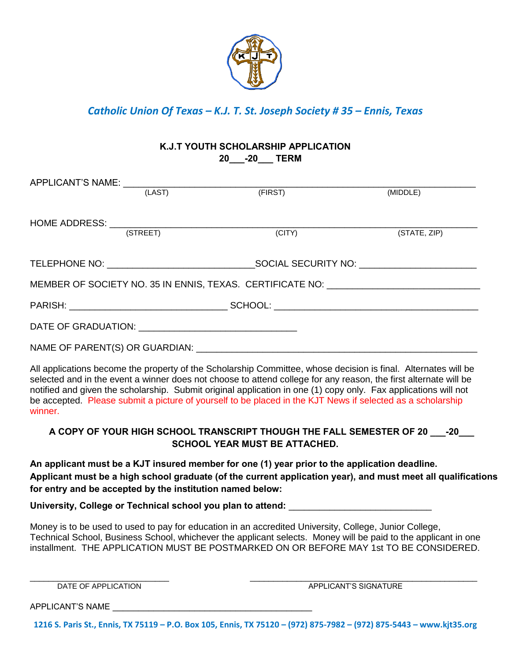

*Catholic Union Of Texas – K.J. T. St. Joseph Society # 35 – Ennis, Texas* 

#### **K.J.T YOUTH SCHOLARSHIP APPLICATION 20\_\_\_-20\_\_\_ TERM**

|                                                                                                                                                                                                                                                                                                                                                                                                                                                                                | APPLICANT'S NAME: (LAST) |         |              |
|--------------------------------------------------------------------------------------------------------------------------------------------------------------------------------------------------------------------------------------------------------------------------------------------------------------------------------------------------------------------------------------------------------------------------------------------------------------------------------|--------------------------|---------|--------------|
|                                                                                                                                                                                                                                                                                                                                                                                                                                                                                |                          | (FIRST) | (MIDDLE)     |
|                                                                                                                                                                                                                                                                                                                                                                                                                                                                                |                          |         |              |
|                                                                                                                                                                                                                                                                                                                                                                                                                                                                                |                          |         |              |
|                                                                                                                                                                                                                                                                                                                                                                                                                                                                                | (STREET)                 | (CITY)  | (STATE, ZIP) |
|                                                                                                                                                                                                                                                                                                                                                                                                                                                                                |                          |         |              |
|                                                                                                                                                                                                                                                                                                                                                                                                                                                                                |                          |         |              |
| MEMBER OF SOCIETY NO. 35 IN ENNIS, TEXAS. CERTIFICATE NO: \\connection______________________________                                                                                                                                                                                                                                                                                                                                                                           |                          |         |              |
|                                                                                                                                                                                                                                                                                                                                                                                                                                                                                |                          |         |              |
|                                                                                                                                                                                                                                                                                                                                                                                                                                                                                |                          |         |              |
|                                                                                                                                                                                                                                                                                                                                                                                                                                                                                |                          |         |              |
| All applications become the property of the Scholarship Committee, whose decision is final. Alternates will be<br>selected and in the event a winner does not choose to attend college for any reason, the first alternate will be<br>notified and given the scholarship. Submit original application in one (1) copy only. Fax applications will not<br>be accepted. Please submit a picture of yourself to be placed in the KJT News if selected as a scholarship<br>winner. |                          |         |              |

#### A COPY OF YOUR HIGH SCHOOL TRANSCRIPT THOUGH THE FALL SEMESTER OF 20  $-20$ **SCHOOL YEAR MUST BE ATTACHED.**

**An applicant must be a KJT insured member for one (1) year prior to the application deadline. Applicant must be a high school graduate (of the current application year), and must meet all qualifications for entry and be accepted by the institution named below:** 

University, College or Technical school you plan to attend: \_\_\_\_\_\_\_\_\_\_\_\_\_\_\_\_\_\_\_\_

Money is to be used to used to pay for education in an accredited University, College, Junior College, Technical School, Business School, whichever the applicant selects. Money will be paid to the applicant in one installment. THE APPLICATION MUST BE POSTMARKED ON OR BEFORE MAY 1st TO BE CONSIDERED.

\_\_\_\_\_\_\_\_\_\_\_\_\_\_\_\_\_\_\_\_\_\_\_\_\_\_\_\_\_\_ \_\_\_\_\_\_\_\_\_\_\_\_\_\_\_\_\_\_\_\_\_\_\_\_\_\_\_\_\_\_\_\_\_\_\_\_\_\_\_\_\_\_\_\_\_\_\_\_\_ DATE OF APPLICATION APPLICANT'S SIGNATURE

APPLICANT'S NAME

**1216 S. Paris St., Ennis, TX 75119 – P.O. Box 105, Ennis, TX 75120 – (972) 875-7982 – (972) 875-5443 – www.kjt35.org**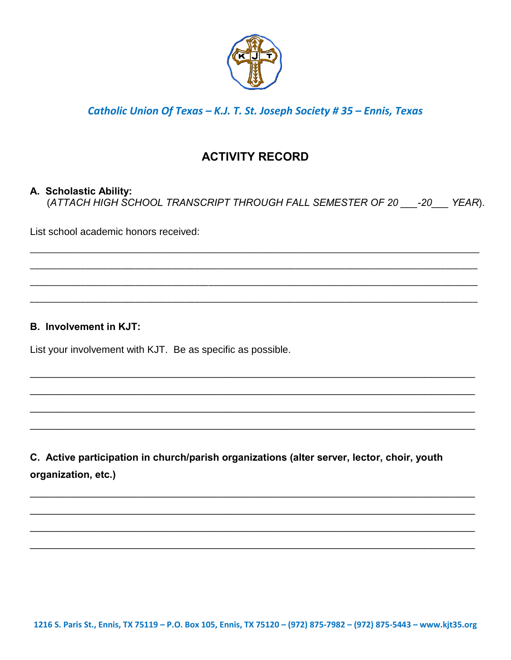

## Catholic Union Of Texas - K.J. T. St. Joseph Society #35 - Ennis, Texas

# **ACTIVITY RECORD**

#### A. Scholastic Ability:

(ATTACH HIGH SCHOOL TRANSCRIPT THROUGH FALL SEMESTER OF 20 \_\_\_\_- 20 \_\_\_\_ YEAR).

List school academic honors received:

#### **B.** Involvement in KJT:

List your involvement with KJT. Be as specific as possible.

C. Active participation in church/parish organizations (alter server, lector, choir, youth organization, etc.)